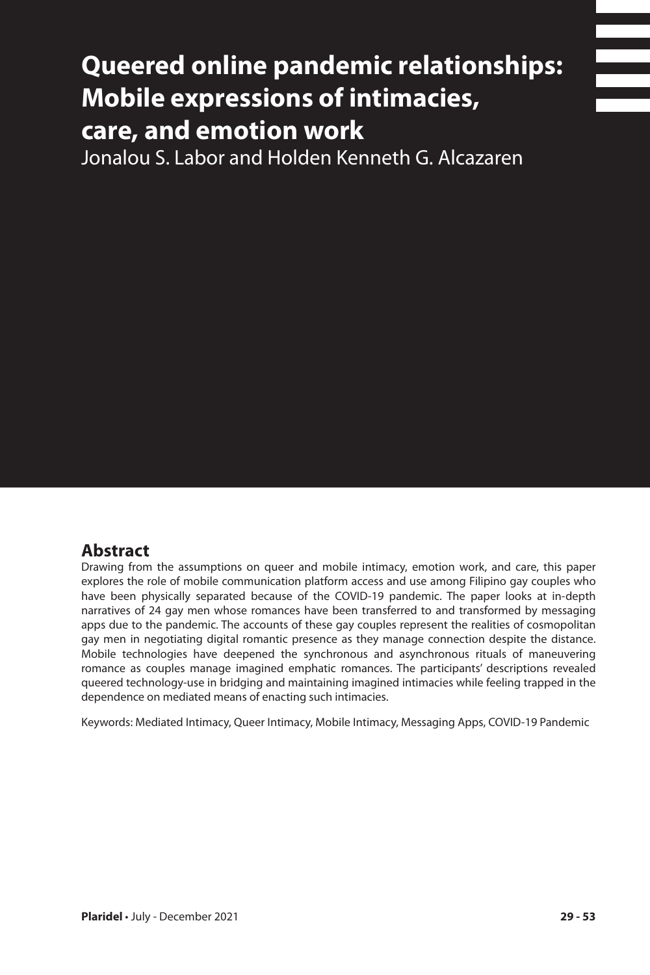# **Queered online pandemic relationships: Mobile expressions of intimacies, care, and emotion work**

Jonalou S. Labor and Holden Kenneth G. Alcazaren

## **Abstract**

Drawing from the assumptions on queer and mobile intimacy, emotion work, and care, this paper explores the role of mobile communication platform access and use among Filipino gay couples who have been physically separated because of the COVID-19 pandemic. The paper looks at in-depth narratives of 24 gay men whose romances have been transferred to and transformed by messaging apps due to the pandemic. The accounts of these gay couples represent the realities of cosmopolitan gay men in negotiating digital romantic presence as they manage connection despite the distance. Mobile technologies have deepened the synchronous and asynchronous rituals of maneuvering romance as couples manage imagined emphatic romances. The participants' descriptions revealed queered technology-use in bridging and maintaining imagined intimacies while feeling trapped in the dependence on mediated means of enacting such intimacies.

Keywords: Mediated Intimacy, Queer Intimacy, Mobile Intimacy, Messaging Apps, COVID-19 Pandemic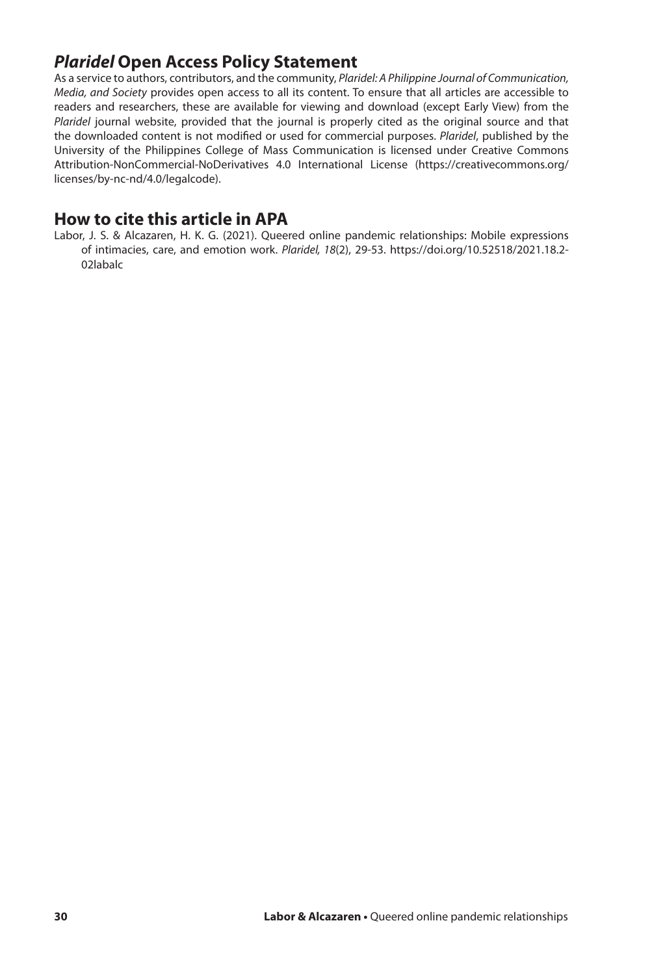# *Plaridel* **Open Access Policy Statement**

As a service to authors, contributors, and the community, *Plaridel: A Philippine Journal of Communication, Media, and Society* provides open access to all its content. To ensure that all articles are accessible to readers and researchers, these are available for viewing and download (except Early View) from the *Plaridel* journal website, provided that the journal is properly cited as the original source and that the downloaded content is not modified or used for commercial purposes. *Plaridel*, published by the University of the Philippines College of Mass Communication is licensed under Creative Commons Attribution-NonCommercial-NoDerivatives 4.0 International License (https://creativecommons.org/ licenses/by-nc-nd/4.0/legalcode).

### **How to cite this article in APA**

Labor, J. S. & Alcazaren, H. K. G. (2021). Queered online pandemic relationships: Mobile expressions of intimacies, care, and emotion work. *Plaridel, 18*(2), 29-53. https://doi.org/10.52518/2021.18.2- 02labalc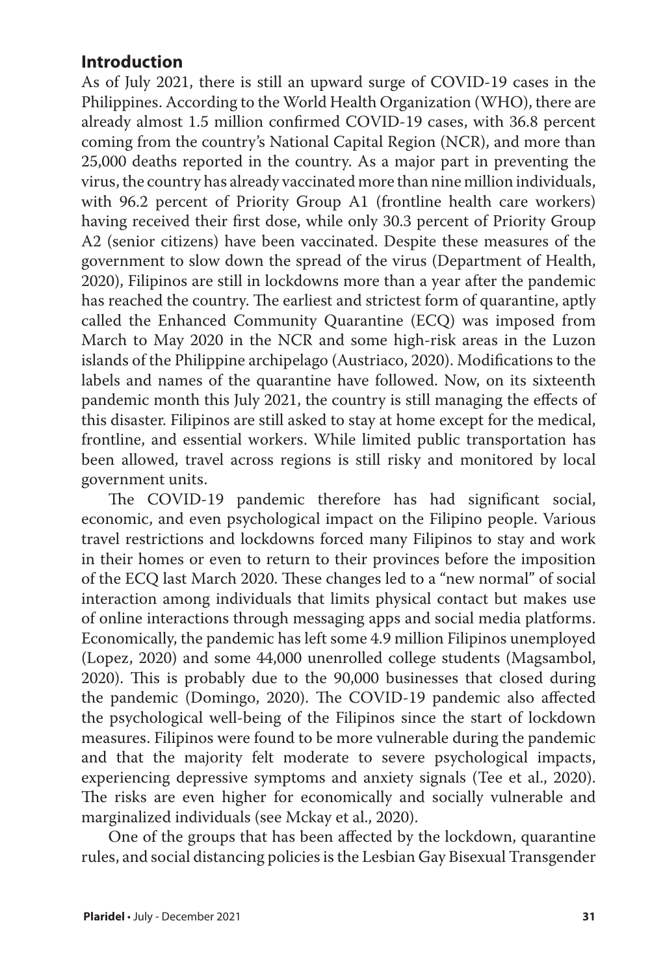# **Introduction**

As of July 2021, there is still an upward surge of COVID-19 cases in the Philippines. According to the World Health Organization (WHO), there are already almost 1.5 million confirmed COVID-19 cases, with 36.8 percent coming from the country's National Capital Region (NCR), and more than 25,000 deaths reported in the country. As a major part in preventing the virus, the country has already vaccinated more than nine million individuals, with 96.2 percent of Priority Group A1 (frontline health care workers) having received their first dose, while only 30.3 percent of Priority Group A2 (senior citizens) have been vaccinated. Despite these measures of the government to slow down the spread of the virus (Department of Health, 2020), Filipinos are still in lockdowns more than a year after the pandemic has reached the country. The earliest and strictest form of quarantine, aptly called the Enhanced Community Quarantine (ECQ) was imposed from March to May 2020 in the NCR and some high-risk areas in the Luzon islands of the Philippine archipelago (Austriaco, 2020). Modifications to the labels and names of the quarantine have followed. Now, on its sixteenth pandemic month this July 2021, the country is still managing the effects of this disaster. Filipinos are still asked to stay at home except for the medical, frontline, and essential workers. While limited public transportation has been allowed, travel across regions is still risky and monitored by local government units.

The COVID-19 pandemic therefore has had significant social, economic, and even psychological impact on the Filipino people. Various travel restrictions and lockdowns forced many Filipinos to stay and work in their homes or even to return to their provinces before the imposition of the ECQ last March 2020. These changes led to a "new normal" of social interaction among individuals that limits physical contact but makes use of online interactions through messaging apps and social media platforms. Economically, the pandemic has left some 4.9 million Filipinos unemployed (Lopez, 2020) and some 44,000 unenrolled college students (Magsambol, 2020). This is probably due to the 90,000 businesses that closed during the pandemic (Domingo, 2020). The COVID-19 pandemic also affected the psychological well-being of the Filipinos since the start of lockdown measures. Filipinos were found to be more vulnerable during the pandemic and that the majority felt moderate to severe psychological impacts, experiencing depressive symptoms and anxiety signals (Tee et al., 2020). The risks are even higher for economically and socially vulnerable and marginalized individuals (see Mckay et al., 2020).

One of the groups that has been affected by the lockdown, quarantine rules, and social distancing policies is the Lesbian Gay Bisexual Transgender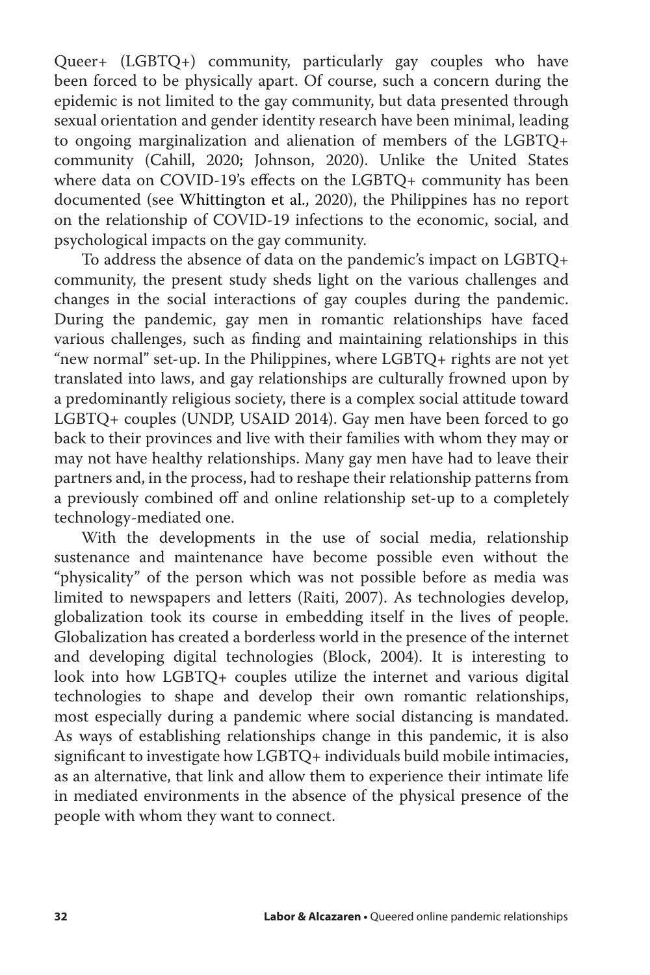Queer+ (LGBTQ+) community, particularly gay couples who have been forced to be physically apart. Of course, such a concern during the epidemic is not limited to the gay community, but data presented through sexual orientation and gender identity research have been minimal, leading to ongoing marginalization and alienation of members of the LGBTQ+ community (Cahill, 2020; Johnson, 2020). Unlike the United States where data on COVID-19's effects on the LGBTQ+ community has been documented (see Whittington et al., 2020), the Philippines has no report on the relationship of COVID-19 infections to the economic, social, and psychological impacts on the gay community.

To address the absence of data on the pandemic's impact on LGBTQ+ community, the present study sheds light on the various challenges and changes in the social interactions of gay couples during the pandemic. During the pandemic, gay men in romantic relationships have faced various challenges, such as finding and maintaining relationships in this "new normal" set-up. In the Philippines, where LGBTQ+ rights are not yet translated into laws, and gay relationships are culturally frowned upon by a predominantly religious society, there is a complex social attitude toward LGBTQ+ couples (UNDP, USAID 2014). Gay men have been forced to go back to their provinces and live with their families with whom they may or may not have healthy relationships. Many gay men have had to leave their partners and, in the process, had to reshape their relationship patterns from a previously combined off and online relationship set-up to a completely technology-mediated one.

With the developments in the use of social media, relationship sustenance and maintenance have become possible even without the "physicality" of the person which was not possible before as media was limited to newspapers and letters (Raiti, 2007). As technologies develop, globalization took its course in embedding itself in the lives of people. Globalization has created a borderless world in the presence of the internet and developing digital technologies (Block, 2004). It is interesting to look into how LGBTQ+ couples utilize the internet and various digital technologies to shape and develop their own romantic relationships, most especially during a pandemic where social distancing is mandated. As ways of establishing relationships change in this pandemic, it is also significant to investigate how LGBTQ+ individuals build mobile intimacies, as an alternative, that link and allow them to experience their intimate life in mediated environments in the absence of the physical presence of the people with whom they want to connect.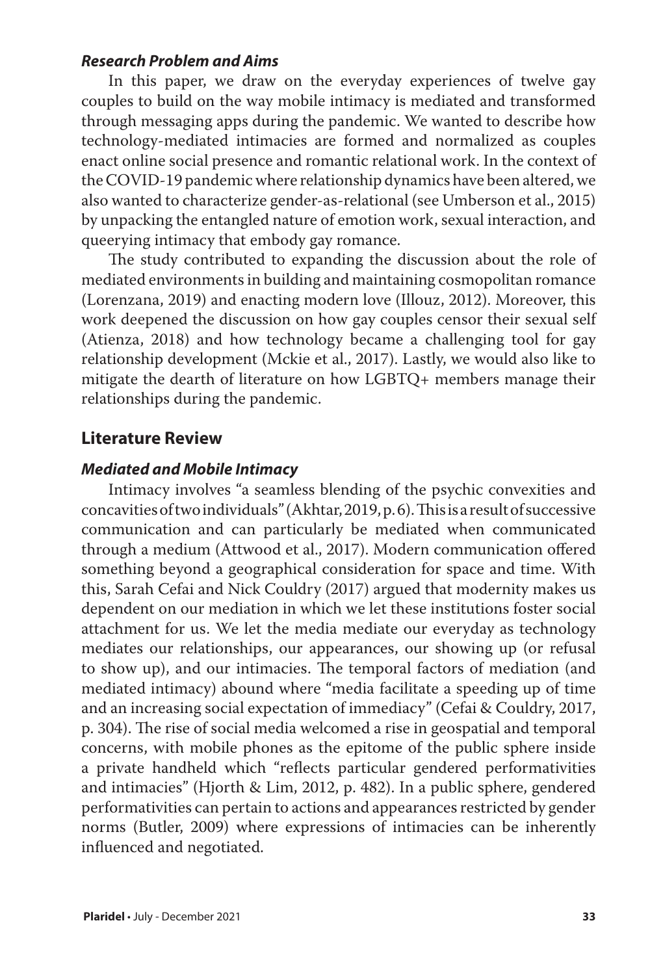#### *Research Problem and Aims*

In this paper, we draw on the everyday experiences of twelve gay couples to build on the way mobile intimacy is mediated and transformed through messaging apps during the pandemic. We wanted to describe how technology-mediated intimacies are formed and normalized as couples enact online social presence and romantic relational work. In the context of the COVID-19 pandemic where relationship dynamics have been altered, we also wanted to characterize gender-as-relational (see Umberson et al., 2015) by unpacking the entangled nature of emotion work, sexual interaction, and queerying intimacy that embody gay romance.

The study contributed to expanding the discussion about the role of mediated environments in building and maintaining cosmopolitan romance (Lorenzana, 2019) and enacting modern love (Illouz, 2012). Moreover, this work deepened the discussion on how gay couples censor their sexual self (Atienza, 2018) and how technology became a challenging tool for gay relationship development (Mckie et al., 2017). Lastly, we would also like to mitigate the dearth of literature on how LGBTQ+ members manage their relationships during the pandemic.

#### **Literature Review**

#### *Mediated and Mobile Intimacy*

Intimacy involves "a seamless blending of the psychic convexities and concavities of two individuals" (Akhtar, 2019, p. 6). This is a result of successive communication and can particularly be mediated when communicated through a medium (Attwood et al., 2017). Modern communication offered something beyond a geographical consideration for space and time. With this, Sarah Cefai and Nick Couldry (2017) argued that modernity makes us dependent on our mediation in which we let these institutions foster social attachment for us. We let the media mediate our everyday as technology mediates our relationships, our appearances, our showing up (or refusal to show up), and our intimacies. The temporal factors of mediation (and mediated intimacy) abound where "media facilitate a speeding up of time and an increasing social expectation of immediacy" (Cefai & Couldry, 2017, p. 304). The rise of social media welcomed a rise in geospatial and temporal concerns, with mobile phones as the epitome of the public sphere inside a private handheld which "reflects particular gendered performativities and intimacies" (Hjorth & Lim, 2012, p. 482). In a public sphere, gendered performativities can pertain to actions and appearances restricted by gender norms (Butler, 2009) where expressions of intimacies can be inherently influenced and negotiated.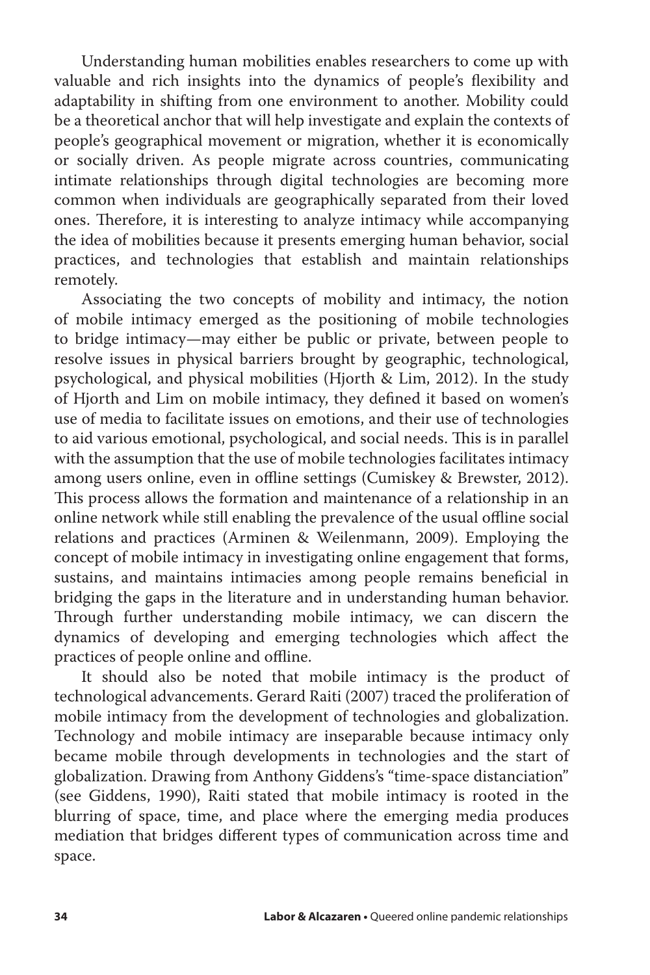Understanding human mobilities enables researchers to come up with valuable and rich insights into the dynamics of people's flexibility and adaptability in shifting from one environment to another. Mobility could be a theoretical anchor that will help investigate and explain the contexts of people's geographical movement or migration, whether it is economically or socially driven. As people migrate across countries, communicating intimate relationships through digital technologies are becoming more common when individuals are geographically separated from their loved ones. Therefore, it is interesting to analyze intimacy while accompanying the idea of mobilities because it presents emerging human behavior, social practices, and technologies that establish and maintain relationships remotely.

Associating the two concepts of mobility and intimacy, the notion of mobile intimacy emerged as the positioning of mobile technologies to bridge intimacy—may either be public or private, between people to resolve issues in physical barriers brought by geographic, technological, psychological, and physical mobilities (Hjorth & Lim, 2012). In the study of Hjorth and Lim on mobile intimacy, they defined it based on women's use of media to facilitate issues on emotions, and their use of technologies to aid various emotional, psychological, and social needs. This is in parallel with the assumption that the use of mobile technologies facilitates intimacy among users online, even in offline settings (Cumiskey & Brewster, 2012). This process allows the formation and maintenance of a relationship in an online network while still enabling the prevalence of the usual offline social relations and practices (Arminen & Weilenmann, 2009). Employing the concept of mobile intimacy in investigating online engagement that forms, sustains, and maintains intimacies among people remains beneficial in bridging the gaps in the literature and in understanding human behavior. Through further understanding mobile intimacy, we can discern the dynamics of developing and emerging technologies which affect the practices of people online and offline.

It should also be noted that mobile intimacy is the product of technological advancements. Gerard Raiti (2007) traced the proliferation of mobile intimacy from the development of technologies and globalization. Technology and mobile intimacy are inseparable because intimacy only became mobile through developments in technologies and the start of globalization. Drawing from Anthony Giddens's "time-space distanciation" (see Giddens, 1990), Raiti stated that mobile intimacy is rooted in the blurring of space, time, and place where the emerging media produces mediation that bridges different types of communication across time and space.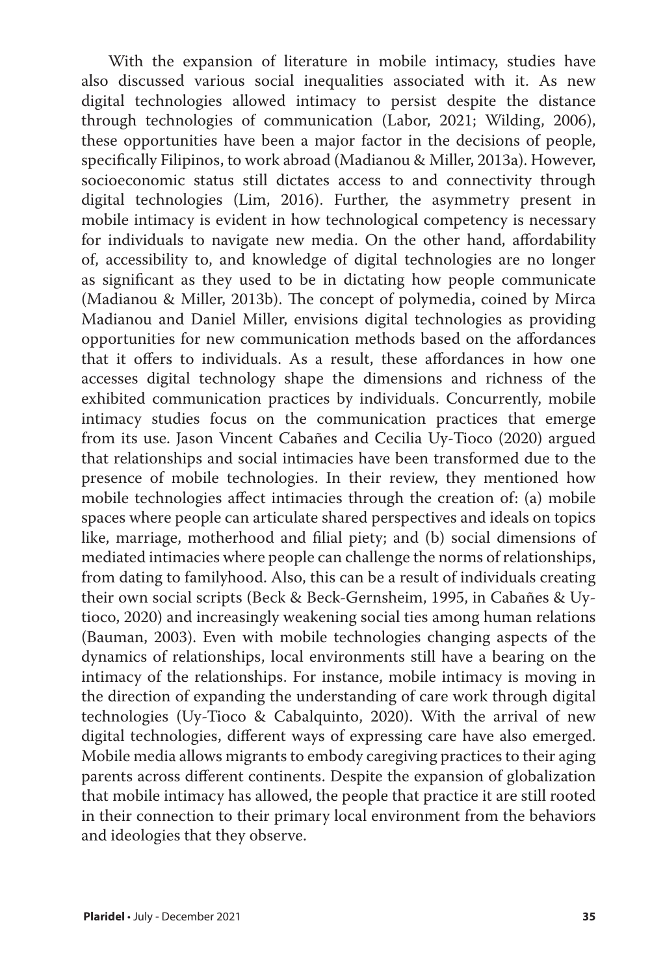With the expansion of literature in mobile intimacy, studies have also discussed various social inequalities associated with it. As new digital technologies allowed intimacy to persist despite the distance through technologies of communication (Labor, 2021; Wilding, 2006), these opportunities have been a major factor in the decisions of people, specifically Filipinos, to work abroad (Madianou & Miller, 2013a). However, socioeconomic status still dictates access to and connectivity through digital technologies (Lim, 2016). Further, the asymmetry present in mobile intimacy is evident in how technological competency is necessary for individuals to navigate new media. On the other hand, affordability of, accessibility to, and knowledge of digital technologies are no longer as significant as they used to be in dictating how people communicate (Madianou & Miller, 2013b). The concept of polymedia, coined by Mirca Madianou and Daniel Miller, envisions digital technologies as providing opportunities for new communication methods based on the affordances that it offers to individuals. As a result, these affordances in how one accesses digital technology shape the dimensions and richness of the exhibited communication practices by individuals. Concurrently, mobile intimacy studies focus on the communication practices that emerge from its use. Jason Vincent Cabañes and Cecilia Uy-Tioco (2020) argued that relationships and social intimacies have been transformed due to the presence of mobile technologies. In their review, they mentioned how mobile technologies affect intimacies through the creation of: (a) mobile spaces where people can articulate shared perspectives and ideals on topics like, marriage, motherhood and filial piety; and (b) social dimensions of mediated intimacies where people can challenge the norms of relationships, from dating to familyhood. Also, this can be a result of individuals creating their own social scripts (Beck & Beck-Gernsheim, 1995, in Cabañes & Uytioco, 2020) and increasingly weakening social ties among human relations (Bauman, 2003). Even with mobile technologies changing aspects of the dynamics of relationships, local environments still have a bearing on the intimacy of the relationships. For instance, mobile intimacy is moving in the direction of expanding the understanding of care work through digital technologies (Uy-Tioco & Cabalquinto, 2020). With the arrival of new digital technologies, different ways of expressing care have also emerged. Mobile media allows migrants to embody caregiving practices to their aging parents across different continents. Despite the expansion of globalization that mobile intimacy has allowed, the people that practice it are still rooted in their connection to their primary local environment from the behaviors and ideologies that they observe.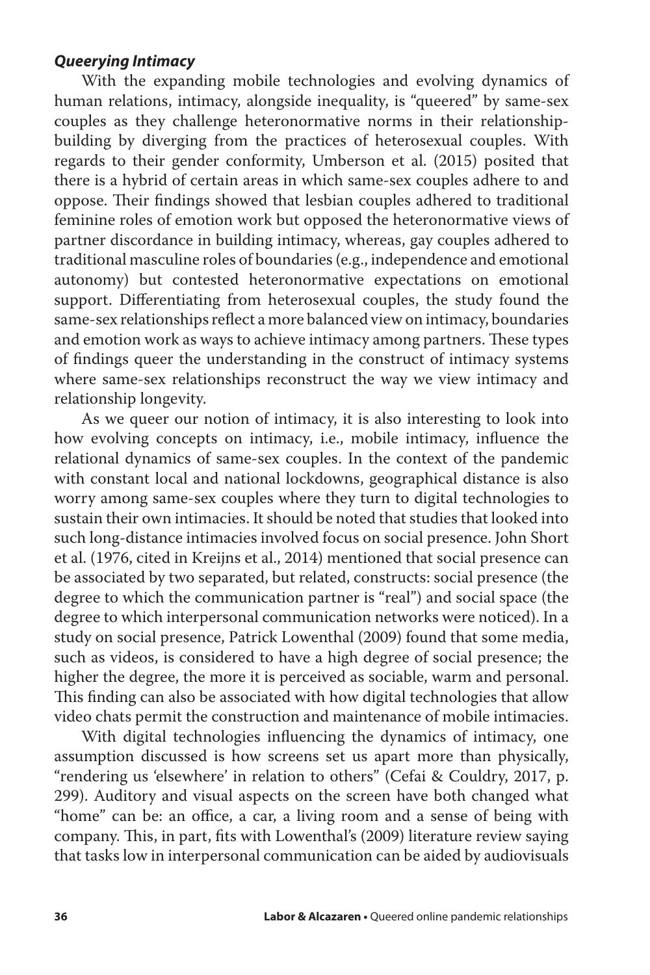#### *Queerying Intimacy*

With the expanding mobile technologies and evolving dynamics of human relations, intimacy, alongside inequality, is "queered" by same-sex couples as they challenge heteronormative norms in their relationshipbuilding by diverging from the practices of heterosexual couples. With regards to their gender conformity, Umberson et al. (2015) posited that there is a hybrid of certain areas in which same-sex couples adhere to and oppose. Their findings showed that lesbian couples adhered to traditional feminine roles of emotion work but opposed the heteronormative views of partner discordance in building intimacy, whereas, gay couples adhered to traditional masculine roles of boundaries (e.g., independence and emotional autonomy) but contested heteronormative expectations on emotional support. Differentiating from heterosexual couples, the study found the same-sex relationships reflect a more balanced view on intimacy, boundaries and emotion work as ways to achieve intimacy among partners. These types of findings queer the understanding in the construct of intimacy systems where same-sex relationships reconstruct the way we view intimacy and relationship longevity.

As we queer our notion of intimacy, it is also interesting to look into how evolving concepts on intimacy, i.e., mobile intimacy, influence the relational dynamics of same-sex couples. In the context of the pandemic with constant local and national lockdowns, geographical distance is also worry among same-sex couples where they turn to digital technologies to sustain their own intimacies. It should be noted that studies that looked into such long-distance intimacies involved focus on social presence. John Short et al. (1976, cited in Kreijns et al., 2014) mentioned that social presence can be associated by two separated, but related, constructs: social presence (the degree to which the communication partner is "real") and social space (the degree to which interpersonal communication networks were noticed). In a study on social presence, Patrick Lowenthal (2009) found that some media, such as videos, is considered to have a high degree of social presence; the higher the degree, the more it is perceived as sociable, warm and personal. This finding can also be associated with how digital technologies that allow video chats permit the construction and maintenance of mobile intimacies.

With digital technologies influencing the dynamics of intimacy, one assumption discussed is how screens set us apart more than physically, "rendering us 'elsewhere' in relation to others" (Cefai & Couldry, 2017, p. 299). Auditory and visual aspects on the screen have both changed what "home" can be: an office, a car, a living room and a sense of being with company. This, in part, fits with Lowenthal's (2009) literature review saying that tasks low in interpersonal communication can be aided by audiovisuals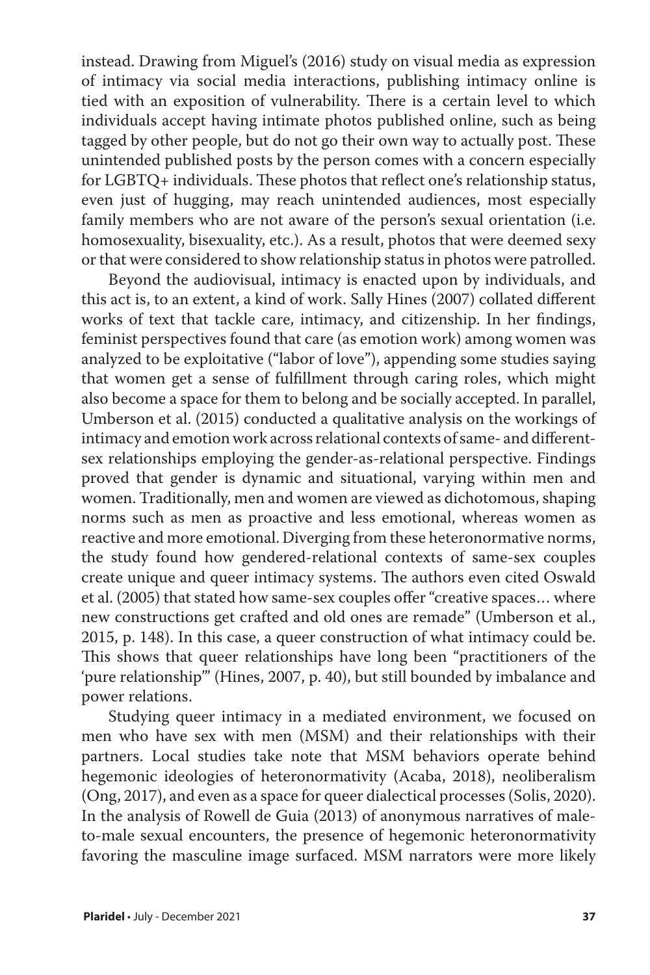instead. Drawing from Miguel's (2016) study on visual media as expression of intimacy via social media interactions, publishing intimacy online is tied with an exposition of vulnerability. There is a certain level to which individuals accept having intimate photos published online, such as being tagged by other people, but do not go their own way to actually post. These unintended published posts by the person comes with a concern especially for LGBTQ+ individuals. These photos that reflect one's relationship status, even just of hugging, may reach unintended audiences, most especially family members who are not aware of the person's sexual orientation (i.e. homosexuality, bisexuality, etc.). As a result, photos that were deemed sexy or that were considered to show relationship status in photos were patrolled.

Beyond the audiovisual, intimacy is enacted upon by individuals, and this act is, to an extent, a kind of work. Sally Hines (2007) collated different works of text that tackle care, intimacy, and citizenship. In her findings, feminist perspectives found that care (as emotion work) among women was analyzed to be exploitative ("labor of love"), appending some studies saying that women get a sense of fulfillment through caring roles, which might also become a space for them to belong and be socially accepted. In parallel, Umberson et al. (2015) conducted a qualitative analysis on the workings of intimacy and emotion work across relational contexts of same- and differentsex relationships employing the gender-as-relational perspective. Findings proved that gender is dynamic and situational, varying within men and women. Traditionally, men and women are viewed as dichotomous, shaping norms such as men as proactive and less emotional, whereas women as reactive and more emotional. Diverging from these heteronormative norms, the study found how gendered-relational contexts of same-sex couples create unique and queer intimacy systems. The authors even cited Oswald et al. (2005) that stated how same-sex couples offer "creative spaces… where new constructions get crafted and old ones are remade" (Umberson et al., 2015, p. 148). In this case, a queer construction of what intimacy could be. This shows that queer relationships have long been "practitioners of the 'pure relationship'" (Hines, 2007, p. 40), but still bounded by imbalance and power relations.

Studying queer intimacy in a mediated environment, we focused on men who have sex with men (MSM) and their relationships with their partners. Local studies take note that MSM behaviors operate behind hegemonic ideologies of heteronormativity (Acaba, 2018), neoliberalism (Ong, 2017), and even as a space for queer dialectical processes (Solis, 2020). In the analysis of Rowell de Guia (2013) of anonymous narratives of maleto-male sexual encounters, the presence of hegemonic heteronormativity favoring the masculine image surfaced. MSM narrators were more likely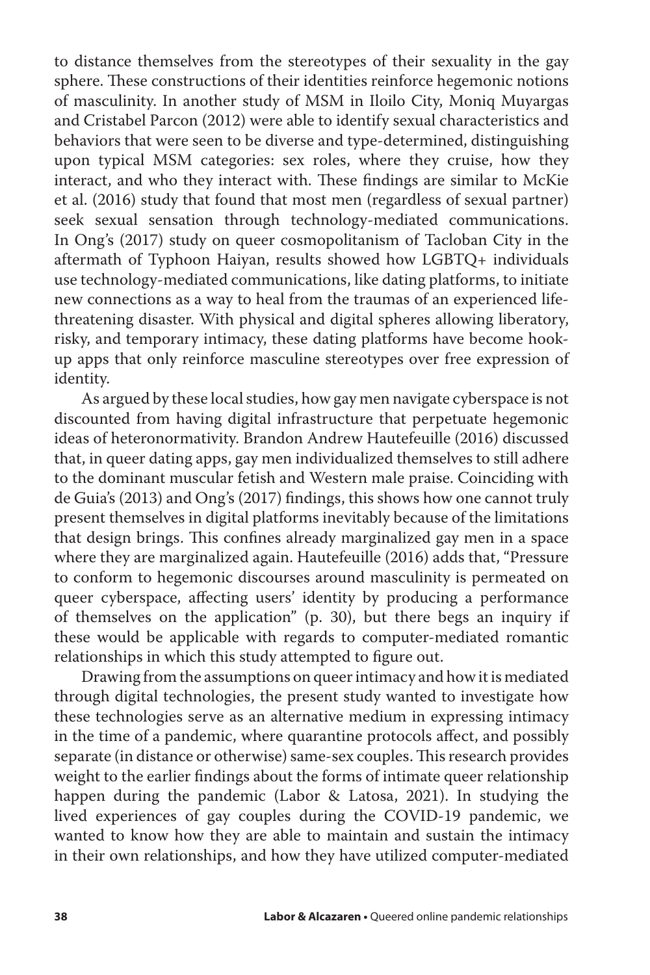to distance themselves from the stereotypes of their sexuality in the gay sphere. These constructions of their identities reinforce hegemonic notions of masculinity. In another study of MSM in Iloilo City, Moniq Muyargas and Cristabel Parcon (2012) were able to identify sexual characteristics and behaviors that were seen to be diverse and type-determined, distinguishing upon typical MSM categories: sex roles, where they cruise, how they interact, and who they interact with. These findings are similar to McKie et al. (2016) study that found that most men (regardless of sexual partner) seek sexual sensation through technology-mediated communications. In Ong's (2017) study on queer cosmopolitanism of Tacloban City in the aftermath of Typhoon Haiyan, results showed how LGBTQ+ individuals use technology-mediated communications, like dating platforms, to initiate new connections as a way to heal from the traumas of an experienced lifethreatening disaster. With physical and digital spheres allowing liberatory, risky, and temporary intimacy, these dating platforms have become hookup apps that only reinforce masculine stereotypes over free expression of identity.

As argued by these local studies, how gay men navigate cyberspace is not discounted from having digital infrastructure that perpetuate hegemonic ideas of heteronormativity. Brandon Andrew Hautefeuille (2016) discussed that, in queer dating apps, gay men individualized themselves to still adhere to the dominant muscular fetish and Western male praise. Coinciding with de Guia's (2013) and Ong's (2017) findings, this shows how one cannot truly present themselves in digital platforms inevitably because of the limitations that design brings. This confines already marginalized gay men in a space where they are marginalized again. Hautefeuille (2016) adds that, "Pressure to conform to hegemonic discourses around masculinity is permeated on queer cyberspace, affecting users' identity by producing a performance of themselves on the application" (p. 30), but there begs an inquiry if these would be applicable with regards to computer-mediated romantic relationships in which this study attempted to figure out.

Drawing from the assumptions on queer intimacy and how it is mediated through digital technologies, the present study wanted to investigate how these technologies serve as an alternative medium in expressing intimacy in the time of a pandemic, where quarantine protocols affect, and possibly separate (in distance or otherwise) same-sex couples. This research provides weight to the earlier findings about the forms of intimate queer relationship happen during the pandemic (Labor & Latosa, 2021). In studying the lived experiences of gay couples during the COVID-19 pandemic, we wanted to know how they are able to maintain and sustain the intimacy in their own relationships, and how they have utilized computer-mediated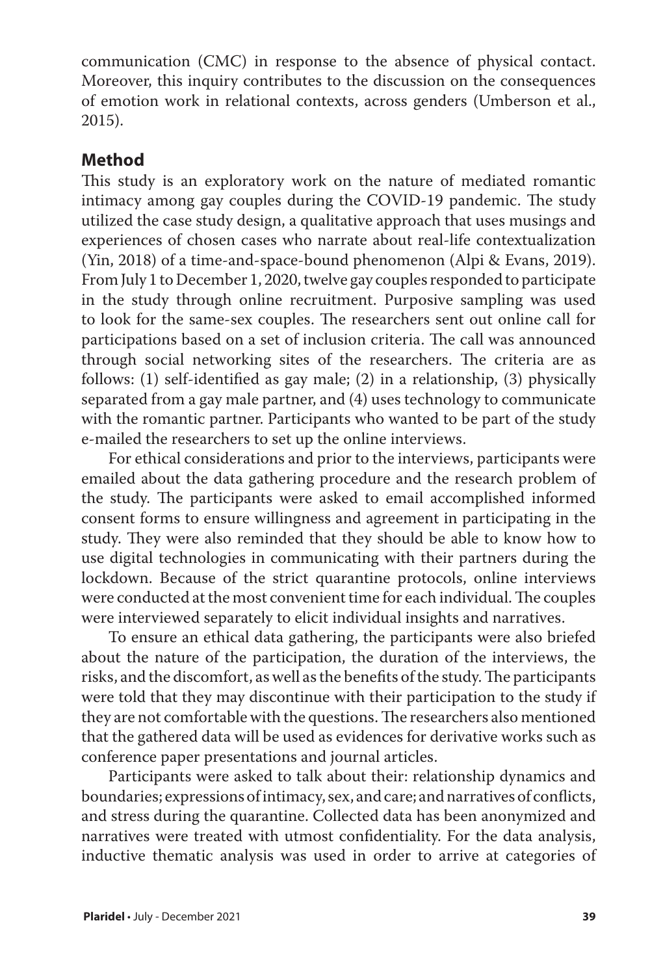communication (CMC) in response to the absence of physical contact. Moreover, this inquiry contributes to the discussion on the consequences of emotion work in relational contexts, across genders (Umberson et al., 2015).

## **Method**

This study is an exploratory work on the nature of mediated romantic intimacy among gay couples during the COVID-19 pandemic. The study utilized the case study design, a qualitative approach that uses musings and experiences of chosen cases who narrate about real-life contextualization (Yin, 2018) of a time-and-space-bound phenomenon (Alpi & Evans, 2019). From July 1 to December 1, 2020, twelve gay couples responded to participate in the study through online recruitment. Purposive sampling was used to look for the same-sex couples. The researchers sent out online call for participations based on a set of inclusion criteria. The call was announced through social networking sites of the researchers. The criteria are as follows: (1) self-identified as gay male; (2) in a relationship, (3) physically separated from a gay male partner, and (4) uses technology to communicate with the romantic partner. Participants who wanted to be part of the study e-mailed the researchers to set up the online interviews.

For ethical considerations and prior to the interviews, participants were emailed about the data gathering procedure and the research problem of the study. The participants were asked to email accomplished informed consent forms to ensure willingness and agreement in participating in the study. They were also reminded that they should be able to know how to use digital technologies in communicating with their partners during the lockdown. Because of the strict quarantine protocols, online interviews were conducted at the most convenient time for each individual. The couples were interviewed separately to elicit individual insights and narratives.

To ensure an ethical data gathering, the participants were also briefed about the nature of the participation, the duration of the interviews, the risks, and the discomfort, as well as the benefits of the study. The participants were told that they may discontinue with their participation to the study if they are not comfortable with the questions. The researchers also mentioned that the gathered data will be used as evidences for derivative works such as conference paper presentations and journal articles.

Participants were asked to talk about their: relationship dynamics and boundaries; expressions of intimacy, sex, and care; and narratives of conflicts, and stress during the quarantine. Collected data has been anonymized and narratives were treated with utmost confidentiality. For the data analysis, inductive thematic analysis was used in order to arrive at categories of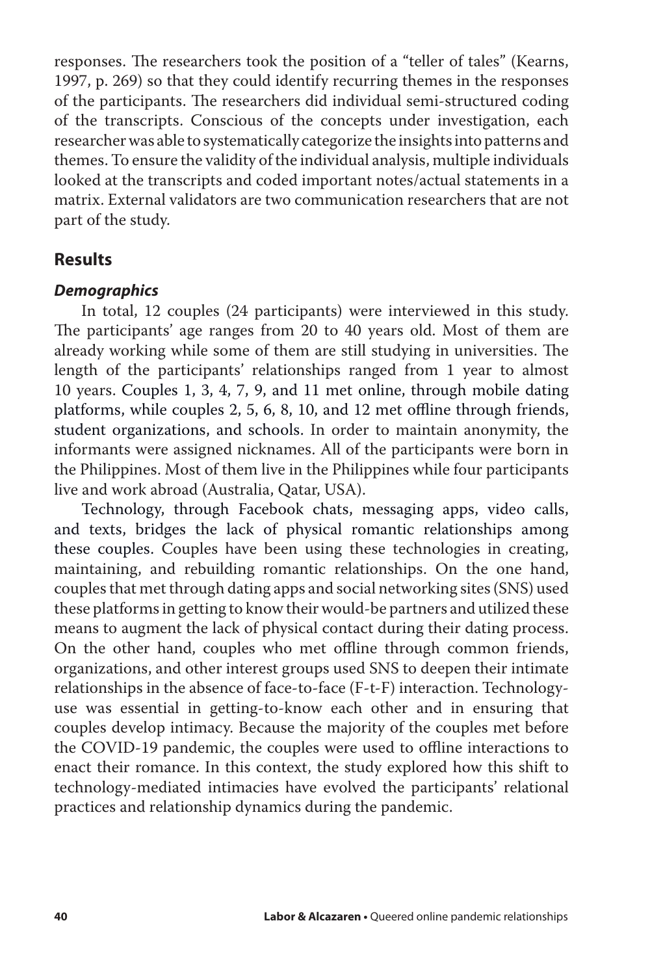responses. The researchers took the position of a "teller of tales" (Kearns, 1997, p. 269) so that they could identify recurring themes in the responses of the participants. The researchers did individual semi-structured coding of the transcripts. Conscious of the concepts under investigation, each researcher was able to systematically categorize the insights into patterns and themes. To ensure the validity of the individual analysis, multiple individuals looked at the transcripts and coded important notes/actual statements in a matrix. External validators are two communication researchers that are not part of the study.

### **Results**

#### *Demographics*

In total, 12 couples (24 participants) were interviewed in this study. The participants' age ranges from 20 to 40 years old. Most of them are already working while some of them are still studying in universities. The length of the participants' relationships ranged from 1 year to almost 10 years. Couples 1, 3, 4, 7, 9, and 11 met online, through mobile dating platforms, while couples 2, 5, 6, 8, 10, and 12 met offline through friends, student organizations, and schools. In order to maintain anonymity, the informants were assigned nicknames. All of the participants were born in the Philippines. Most of them live in the Philippines while four participants live and work abroad (Australia, Qatar, USA).

Technology, through Facebook chats, messaging apps, video calls, and texts, bridges the lack of physical romantic relationships among these couples. Couples have been using these technologies in creating, maintaining, and rebuilding romantic relationships. On the one hand, couples that met through dating apps and social networking sites (SNS) used these platforms in getting to know their would-be partners and utilized these means to augment the lack of physical contact during their dating process. On the other hand, couples who met offline through common friends, organizations, and other interest groups used SNS to deepen their intimate relationships in the absence of face-to-face (F-t-F) interaction. Technologyuse was essential in getting-to-know each other and in ensuring that couples develop intimacy. Because the majority of the couples met before the COVID-19 pandemic, the couples were used to offline interactions to enact their romance. In this context, the study explored how this shift to technology-mediated intimacies have evolved the participants' relational practices and relationship dynamics during the pandemic.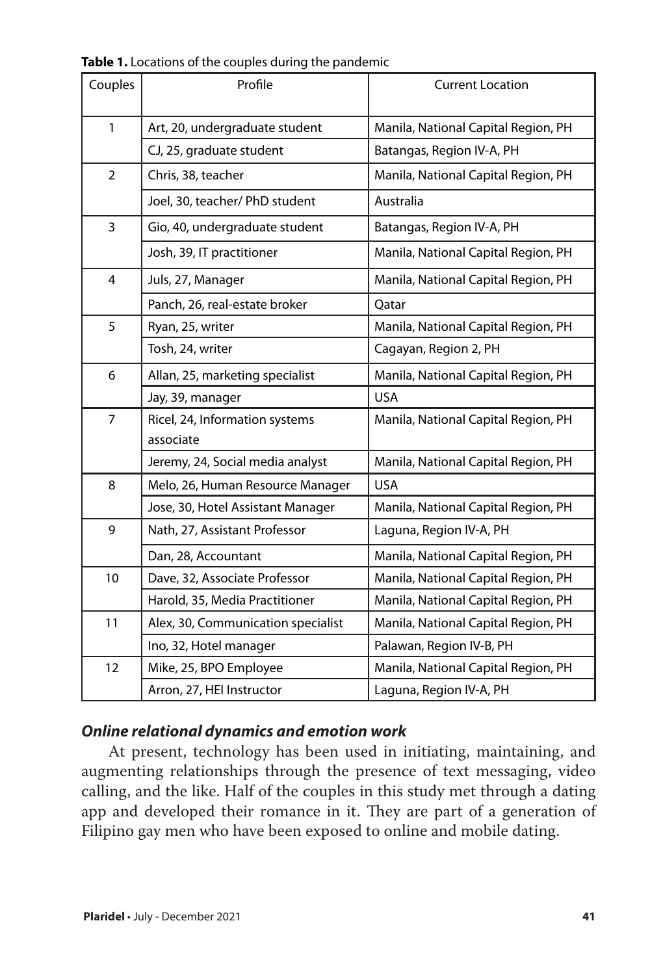| Couples        | Profile                            | <b>Current Location</b>             |
|----------------|------------------------------------|-------------------------------------|
| $\mathbf{1}$   | Art, 20, undergraduate student     | Manila, National Capital Region, PH |
|                | CJ, 25, graduate student           | Batangas, Region IV-A, PH           |
| $\overline{2}$ | Chris, 38, teacher                 | Manila, National Capital Region, PH |
|                | Joel, 30, teacher/ PhD student     | Australia                           |
| 3              | Gio, 40, undergraduate student     | Batangas, Region IV-A, PH           |
|                | Josh, 39, IT practitioner          | Manila, National Capital Region, PH |
| 4              | Juls, 27, Manager                  | Manila, National Capital Region, PH |
|                | Panch, 26, real-estate broker      | Qatar                               |
| 5              | Ryan, 25, writer                   | Manila, National Capital Region, PH |
|                | Tosh, 24, writer                   | Cagayan, Region 2, PH               |
| 6              | Allan, 25, marketing specialist    | Manila, National Capital Region, PH |
|                | Jay, 39, manager                   | <b>USA</b>                          |
| $\overline{7}$ | Ricel, 24, Information systems     | Manila, National Capital Region, PH |
|                | associate                          |                                     |
|                | Jeremy, 24, Social media analyst   | Manila, National Capital Region, PH |
| 8              | Melo, 26, Human Resource Manager   | <b>USA</b>                          |
|                | Jose, 30, Hotel Assistant Manager  | Manila, National Capital Region, PH |
| 9              | Nath, 27, Assistant Professor      | Laguna, Region IV-A, PH             |
|                | Dan, 28, Accountant                | Manila, National Capital Region, PH |
| 10             | Dave, 32, Associate Professor      | Manila, National Capital Region, PH |
|                | Harold, 35, Media Practitioner     | Manila, National Capital Region, PH |
| 11             | Alex, 30, Communication specialist | Manila, National Capital Region, PH |
|                | Ino, 32, Hotel manager             | Palawan, Region IV-B, PH            |
| 12             | Mike, 25, BPO Employee             | Manila, National Capital Region, PH |
|                | Arron, 27, HEI Instructor          | Laguna, Region IV-A, PH             |

**Table 1.** Locations of the couples during the pandemic

## *Online relational dynamics and emotion work*

At present, technology has been used in initiating, maintaining, and augmenting relationships through the presence of text messaging, video calling, and the like. Half of the couples in this study met through a dating app and developed their romance in it. They are part of a generation of Filipino gay men who have been exposed to online and mobile dating.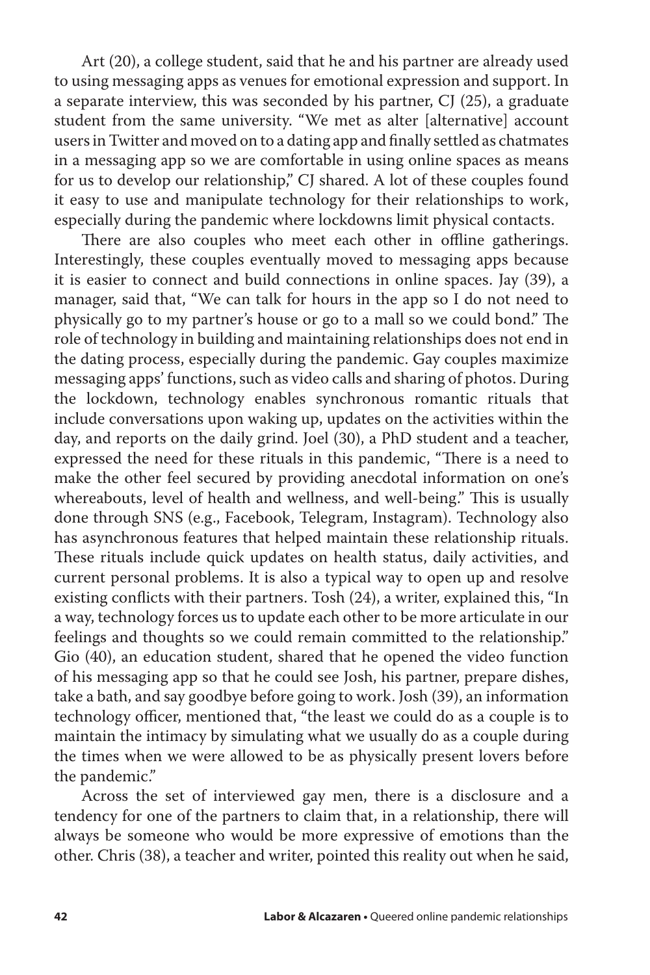Art (20), a college student, said that he and his partner are already used to using messaging apps as venues for emotional expression and support. In a separate interview, this was seconded by his partner, CJ (25), a graduate student from the same university. "We met as alter [alternative] account users in Twitter and moved on to a dating app and finally settled as chatmates in a messaging app so we are comfortable in using online spaces as means for us to develop our relationship," CJ shared. A lot of these couples found it easy to use and manipulate technology for their relationships to work, especially during the pandemic where lockdowns limit physical contacts.

There are also couples who meet each other in offline gatherings. Interestingly, these couples eventually moved to messaging apps because it is easier to connect and build connections in online spaces. Jay (39), a manager, said that, "We can talk for hours in the app so I do not need to physically go to my partner's house or go to a mall so we could bond." The role of technology in building and maintaining relationships does not end in the dating process, especially during the pandemic. Gay couples maximize messaging apps' functions, such as video calls and sharing of photos. During the lockdown, technology enables synchronous romantic rituals that include conversations upon waking up, updates on the activities within the day, and reports on the daily grind. Joel (30), a PhD student and a teacher, expressed the need for these rituals in this pandemic, "There is a need to make the other feel secured by providing anecdotal information on one's whereabouts, level of health and wellness, and well-being." This is usually done through SNS (e.g., Facebook, Telegram, Instagram). Technology also has asynchronous features that helped maintain these relationship rituals. These rituals include quick updates on health status, daily activities, and current personal problems. It is also a typical way to open up and resolve existing conflicts with their partners. Tosh (24), a writer, explained this, "In a way, technology forces us to update each other to be more articulate in our feelings and thoughts so we could remain committed to the relationship." Gio (40), an education student, shared that he opened the video function of his messaging app so that he could see Josh, his partner, prepare dishes, take a bath, and say goodbye before going to work. Josh (39), an information technology officer, mentioned that, "the least we could do as a couple is to maintain the intimacy by simulating what we usually do as a couple during the times when we were allowed to be as physically present lovers before the pandemic."

Across the set of interviewed gay men, there is a disclosure and a tendency for one of the partners to claim that, in a relationship, there will always be someone who would be more expressive of emotions than the other. Chris (38), a teacher and writer, pointed this reality out when he said,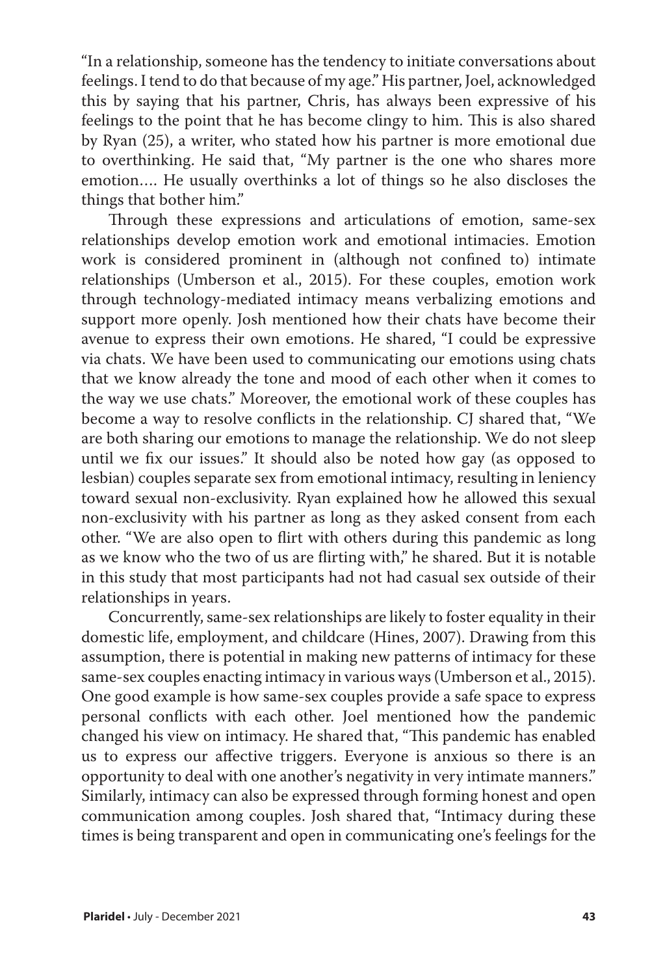"In a relationship, someone has the tendency to initiate conversations about feelings. I tend to do that because of my age." His partner, Joel, acknowledged this by saying that his partner, Chris, has always been expressive of his feelings to the point that he has become clingy to him. This is also shared by Ryan (25), a writer, who stated how his partner is more emotional due to overthinking. He said that, "My partner is the one who shares more emotion…. He usually overthinks a lot of things so he also discloses the things that bother him."

Through these expressions and articulations of emotion, same-sex relationships develop emotion work and emotional intimacies. Emotion work is considered prominent in (although not confined to) intimate relationships (Umberson et al., 2015). For these couples, emotion work through technology-mediated intimacy means verbalizing emotions and support more openly. Josh mentioned how their chats have become their avenue to express their own emotions. He shared, "I could be expressive via chats. We have been used to communicating our emotions using chats that we know already the tone and mood of each other when it comes to the way we use chats." Moreover, the emotional work of these couples has become a way to resolve conflicts in the relationship. CJ shared that, "We are both sharing our emotions to manage the relationship. We do not sleep until we fix our issues." It should also be noted how gay (as opposed to lesbian) couples separate sex from emotional intimacy, resulting in leniency toward sexual non-exclusivity. Ryan explained how he allowed this sexual non-exclusivity with his partner as long as they asked consent from each other. "We are also open to flirt with others during this pandemic as long as we know who the two of us are flirting with," he shared. But it is notable in this study that most participants had not had casual sex outside of their relationships in years.

Concurrently, same-sex relationships are likely to foster equality in their domestic life, employment, and childcare (Hines, 2007). Drawing from this assumption, there is potential in making new patterns of intimacy for these same-sex couples enacting intimacy in various ways (Umberson et al., 2015). One good example is how same-sex couples provide a safe space to express personal conflicts with each other. Joel mentioned how the pandemic changed his view on intimacy. He shared that, "This pandemic has enabled us to express our affective triggers. Everyone is anxious so there is an opportunity to deal with one another's negativity in very intimate manners." Similarly, intimacy can also be expressed through forming honest and open communication among couples. Josh shared that, "Intimacy during these times is being transparent and open in communicating one's feelings for the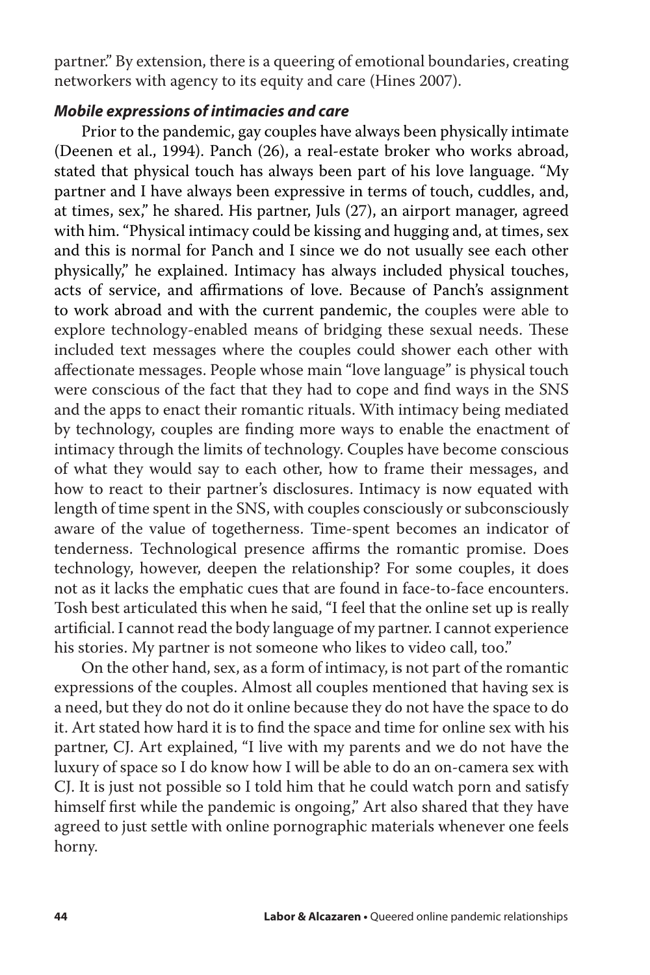partner." By extension, there is a queering of emotional boundaries, creating networkers with agency to its equity and care (Hines 2007).

#### *Mobile expressions of intimacies and care*

Prior to the pandemic, gay couples have always been physically intimate (Deenen et al., 1994). Panch (26), a real-estate broker who works abroad, stated that physical touch has always been part of his love language. "My partner and I have always been expressive in terms of touch, cuddles, and, at times, sex," he shared. His partner, Juls (27), an airport manager, agreed with him. "Physical intimacy could be kissing and hugging and, at times, sex and this is normal for Panch and I since we do not usually see each other physically," he explained. Intimacy has always included physical touches, acts of service, and affirmations of love. Because of Panch's assignment to work abroad and with the current pandemic, the couples were able to explore technology-enabled means of bridging these sexual needs. These included text messages where the couples could shower each other with affectionate messages. People whose main "love language" is physical touch were conscious of the fact that they had to cope and find ways in the SNS and the apps to enact their romantic rituals. With intimacy being mediated by technology, couples are finding more ways to enable the enactment of intimacy through the limits of technology. Couples have become conscious of what they would say to each other, how to frame their messages, and how to react to their partner's disclosures. Intimacy is now equated with length of time spent in the SNS, with couples consciously or subconsciously aware of the value of togetherness. Time-spent becomes an indicator of tenderness. Technological presence affirms the romantic promise. Does technology, however, deepen the relationship? For some couples, it does not as it lacks the emphatic cues that are found in face-to-face encounters. Tosh best articulated this when he said, "I feel that the online set up is really artificial. I cannot read the body language of my partner. I cannot experience his stories. My partner is not someone who likes to video call, too."

On the other hand, sex, as a form of intimacy, is not part of the romantic expressions of the couples. Almost all couples mentioned that having sex is a need, but they do not do it online because they do not have the space to do it. Art stated how hard it is to find the space and time for online sex with his partner, CJ. Art explained, "I live with my parents and we do not have the luxury of space so I do know how I will be able to do an on-camera sex with CJ. It is just not possible so I told him that he could watch porn and satisfy himself first while the pandemic is ongoing," Art also shared that they have agreed to just settle with online pornographic materials whenever one feels horny.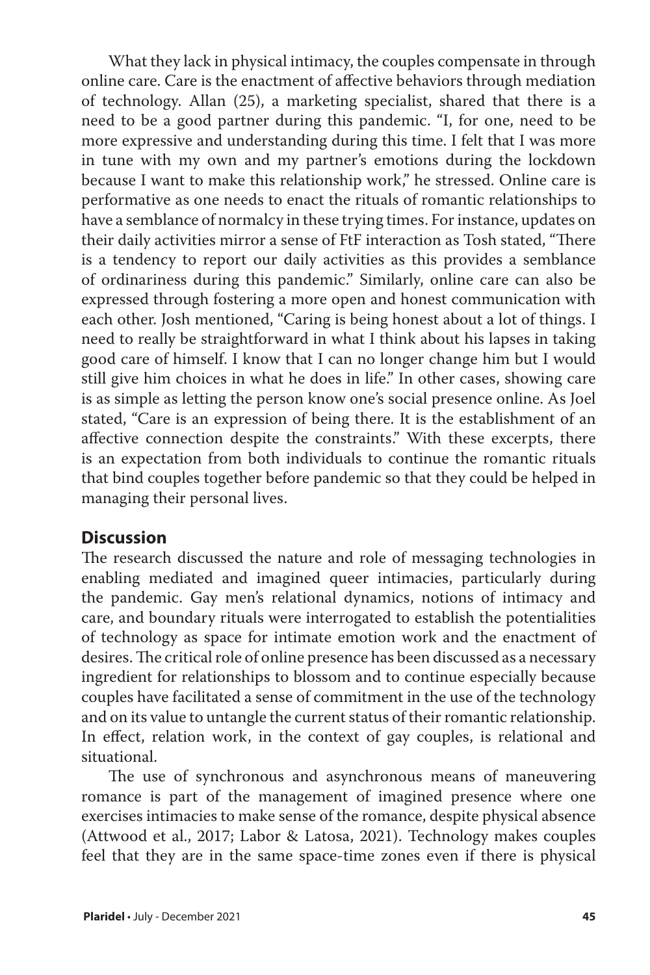What they lack in physical intimacy, the couples compensate in through online care. Care is the enactment of affective behaviors through mediation of technology. Allan (25), a marketing specialist, shared that there is a need to be a good partner during this pandemic. "I, for one, need to be more expressive and understanding during this time. I felt that I was more in tune with my own and my partner's emotions during the lockdown because I want to make this relationship work," he stressed. Online care is performative as one needs to enact the rituals of romantic relationships to have a semblance of normalcy in these trying times. For instance, updates on their daily activities mirror a sense of FtF interaction as Tosh stated, "There is a tendency to report our daily activities as this provides a semblance of ordinariness during this pandemic." Similarly, online care can also be expressed through fostering a more open and honest communication with each other. Josh mentioned, "Caring is being honest about a lot of things. I need to really be straightforward in what I think about his lapses in taking good care of himself. I know that I can no longer change him but I would still give him choices in what he does in life." In other cases, showing care is as simple as letting the person know one's social presence online. As Joel stated, "Care is an expression of being there. It is the establishment of an affective connection despite the constraints." With these excerpts, there is an expectation from both individuals to continue the romantic rituals that bind couples together before pandemic so that they could be helped in managing their personal lives.

## **Discussion**

The research discussed the nature and role of messaging technologies in enabling mediated and imagined queer intimacies, particularly during the pandemic. Gay men's relational dynamics, notions of intimacy and care, and boundary rituals were interrogated to establish the potentialities of technology as space for intimate emotion work and the enactment of desires. The critical role of online presence has been discussed as a necessary ingredient for relationships to blossom and to continue especially because couples have facilitated a sense of commitment in the use of the technology and on its value to untangle the current status of their romantic relationship. In effect, relation work, in the context of gay couples, is relational and situational.

The use of synchronous and asynchronous means of maneuvering romance is part of the management of imagined presence where one exercises intimacies to make sense of the romance, despite physical absence (Attwood et al., 2017; Labor & Latosa, 2021). Technology makes couples feel that they are in the same space-time zones even if there is physical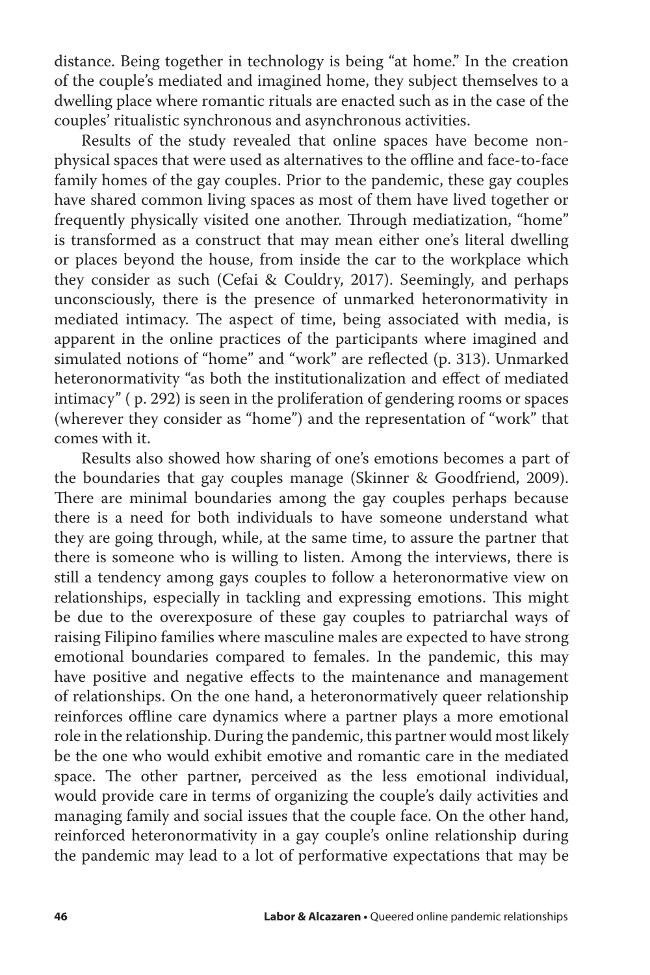distance. Being together in technology is being "at home." In the creation of the couple's mediated and imagined home, they subject themselves to a dwelling place where romantic rituals are enacted such as in the case of the couples' ritualistic synchronous and asynchronous activities.

Results of the study revealed that online spaces have become nonphysical spaces that were used as alternatives to the offline and face-to-face family homes of the gay couples. Prior to the pandemic, these gay couples have shared common living spaces as most of them have lived together or frequently physically visited one another. Through mediatization, "home" is transformed as a construct that may mean either one's literal dwelling or places beyond the house, from inside the car to the workplace which they consider as such (Cefai & Couldry, 2017). Seemingly, and perhaps unconsciously, there is the presence of unmarked heteronormativity in mediated intimacy. The aspect of time, being associated with media, is apparent in the online practices of the participants where imagined and simulated notions of "home" and "work" are reflected (p. 313). Unmarked heteronormativity "as both the institutionalization and effect of mediated intimacy" ( p. 292) is seen in the proliferation of gendering rooms or spaces (wherever they consider as "home") and the representation of "work" that comes with it.

Results also showed how sharing of one's emotions becomes a part of the boundaries that gay couples manage (Skinner & Goodfriend, 2009). There are minimal boundaries among the gay couples perhaps because there is a need for both individuals to have someone understand what they are going through, while, at the same time, to assure the partner that there is someone who is willing to listen. Among the interviews, there is still a tendency among gays couples to follow a heteronormative view on relationships, especially in tackling and expressing emotions. This might be due to the overexposure of these gay couples to patriarchal ways of raising Filipino families where masculine males are expected to have strong emotional boundaries compared to females. In the pandemic, this may have positive and negative effects to the maintenance and management of relationships. On the one hand, a heteronormatively queer relationship reinforces offline care dynamics where a partner plays a more emotional role in the relationship. During the pandemic, this partner would most likely be the one who would exhibit emotive and romantic care in the mediated space. The other partner, perceived as the less emotional individual, would provide care in terms of organizing the couple's daily activities and managing family and social issues that the couple face. On the other hand, reinforced heteronormativity in a gay couple's online relationship during the pandemic may lead to a lot of performative expectations that may be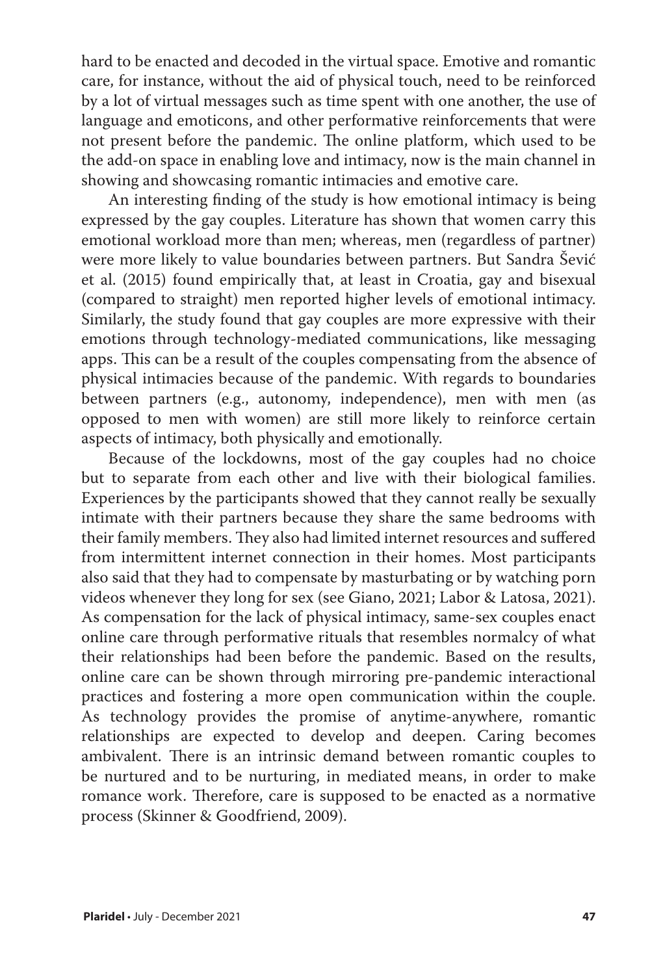hard to be enacted and decoded in the virtual space. Emotive and romantic care, for instance, without the aid of physical touch, need to be reinforced by a lot of virtual messages such as time spent with one another, the use of language and emoticons, and other performative reinforcements that were not present before the pandemic. The online platform, which used to be the add-on space in enabling love and intimacy, now is the main channel in showing and showcasing romantic intimacies and emotive care.

An interesting finding of the study is how emotional intimacy is being expressed by the gay couples. Literature has shown that women carry this emotional workload more than men; whereas, men (regardless of partner) were more likely to value boundaries between partners. But Sandra Šević et al. (2015) found empirically that, at least in Croatia, gay and bisexual (compared to straight) men reported higher levels of emotional intimacy. Similarly, the study found that gay couples are more expressive with their emotions through technology-mediated communications, like messaging apps. This can be a result of the couples compensating from the absence of physical intimacies because of the pandemic. With regards to boundaries between partners (e.g., autonomy, independence), men with men (as opposed to men with women) are still more likely to reinforce certain aspects of intimacy, both physically and emotionally.

Because of the lockdowns, most of the gay couples had no choice but to separate from each other and live with their biological families. Experiences by the participants showed that they cannot really be sexually intimate with their partners because they share the same bedrooms with their family members. They also had limited internet resources and suffered from intermittent internet connection in their homes. Most participants also said that they had to compensate by masturbating or by watching porn videos whenever they long for sex (see Giano, 2021; Labor & Latosa, 2021). As compensation for the lack of physical intimacy, same-sex couples enact online care through performative rituals that resembles normalcy of what their relationships had been before the pandemic. Based on the results, online care can be shown through mirroring pre-pandemic interactional practices and fostering a more open communication within the couple. As technology provides the promise of anytime-anywhere, romantic relationships are expected to develop and deepen. Caring becomes ambivalent. There is an intrinsic demand between romantic couples to be nurtured and to be nurturing, in mediated means, in order to make romance work. Therefore, care is supposed to be enacted as a normative process (Skinner & Goodfriend, 2009).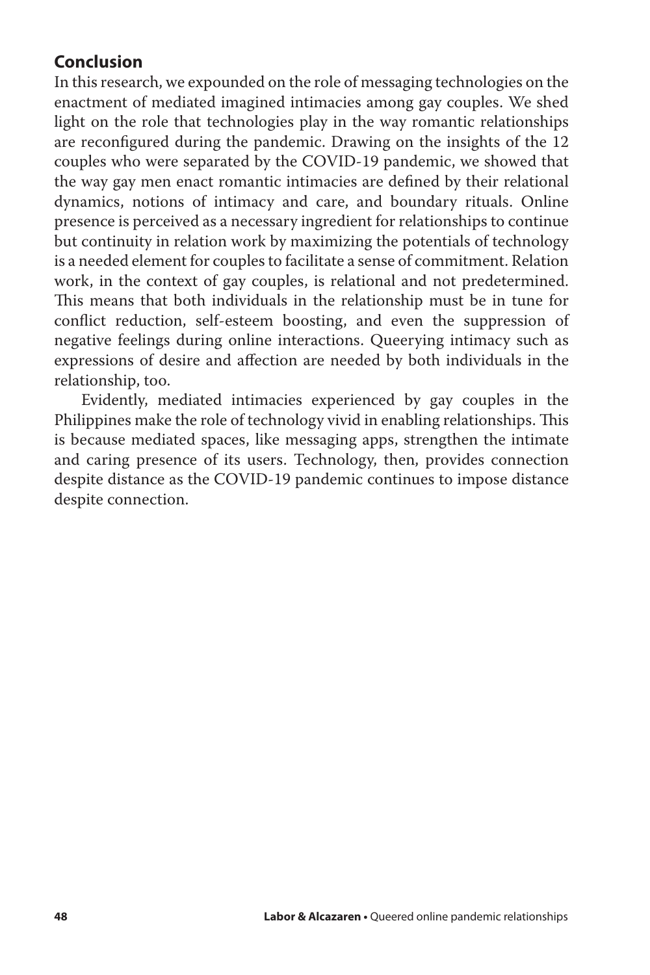# **Conclusion**

In this research, we expounded on the role of messaging technologies on the enactment of mediated imagined intimacies among gay couples. We shed light on the role that technologies play in the way romantic relationships are reconfigured during the pandemic. Drawing on the insights of the 12 couples who were separated by the COVID-19 pandemic, we showed that the way gay men enact romantic intimacies are defined by their relational dynamics, notions of intimacy and care, and boundary rituals. Online presence is perceived as a necessary ingredient for relationships to continue but continuity in relation work by maximizing the potentials of technology is a needed element for couples to facilitate a sense of commitment. Relation work, in the context of gay couples, is relational and not predetermined. This means that both individuals in the relationship must be in tune for conflict reduction, self-esteem boosting, and even the suppression of negative feelings during online interactions. Queerying intimacy such as expressions of desire and affection are needed by both individuals in the relationship, too.

Evidently, mediated intimacies experienced by gay couples in the Philippines make the role of technology vivid in enabling relationships. This is because mediated spaces, like messaging apps, strengthen the intimate and caring presence of its users. Technology, then, provides connection despite distance as the COVID-19 pandemic continues to impose distance despite connection.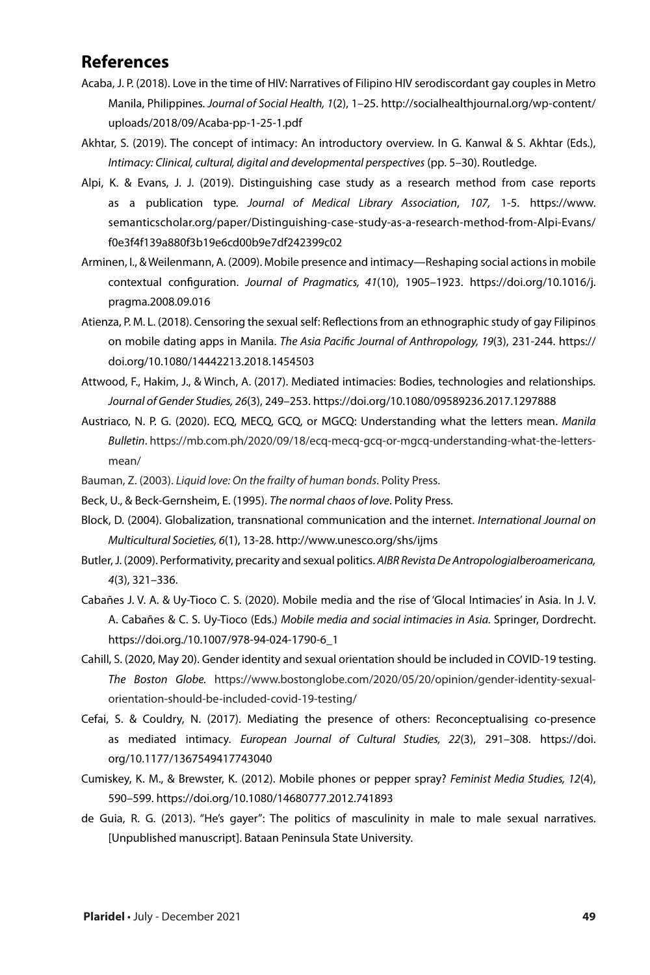### **References**

- Acaba, J. P. (2018). Love in the time of HIV: Narratives of Filipino HIV serodiscordant gay couples in Metro Manila, Philippines*. Journal of Social Health, 1*(2), 1–25. http://socialhealthjournal.org/wp-content/ uploads/2018/09/Acaba-pp-1-25-1.pdf
- Akhtar, S. (2019). The concept of intimacy: An introductory overview. In G. Kanwal & S. Akhtar (Eds.), *Intimacy: Clinical, cultural, digital and developmental perspectives* (pp. 5–30). Routledge.
- Alpi, K. & Evans, J. J. (2019). Distinguishing case study as a research method from case reports as a publication type*. Journal of Medical Library Association*, *107,* 1-5. https://www. semanticscholar.org/paper/Distinguishing-case-study-as-a-research-method-from-Alpi-Evans/ f0e3f4f139a880f3b19e6cd00b9e7df242399c02
- Arminen, I., & Weilenmann, A. (2009). Mobile presence and intimacy—Reshaping social actions in mobile contextual configuration. *Journal of Pragmatics, 41*(10), 1905–1923. https://doi.org/10.1016/j. pragma.2008.09.016
- Atienza, P. M. L. (2018). Censoring the sexual self: Reflections from an ethnographic study of gay Filipinos on mobile dating apps in Manila. *The Asia Pacific Journal of Anthropology, 19*(3), 231-244. https:// doi.org/10.1080/14442213.2018.1454503
- Attwood, F., Hakim, J., & Winch, A. (2017). Mediated intimacies: Bodies, technologies and relationships*. Journal of Gender Studies, 26*(3), 249–253. https://doi.org/10.1080/09589236.2017.1297888
- Austriaco, N. P. G. (2020). ECQ, MECQ, GCQ, or MGCQ: Understanding what the letters mean. *Manila Bulletin*. https://mb.com.ph/2020/09/18/ecq-mecq-gcq-or-mgcq-understanding-what-the-lettersmean/
- Bauman, Z. (2003). *Liquid love: On the frailty of human bonds*. Polity Press.
- Beck, U., & Beck-Gernsheim, E. (1995). *The normal chaos of love*. Polity Press.
- Block, D. (2004). Globalization, transnational communication and the internet. *International Journal on Multicultural Societies, 6*(1), 13-28. http://www.unesco.org/shs/ijms
- Butler, J. (2009). Performativity, precarity and sexual politics. *AIBR Revista De AntropologiaIberoamericana, 4*(3), 321–336.
- Cabañes J. V. A. & Uy-Tioco C. S. (2020). Mobile media and the rise of 'Glocal Intimacies' in Asia. In J. V. A. Cabañes & C. S. Uy-Tioco (Eds.) *Mobile media and social intimacies in Asia.* Springer, Dordrecht. https://doi.org./10.1007/978-94-024-1790-6\_1
- Cahill, S. (2020, May 20). Gender identity and sexual orientation should be included in COVID-19 testing. *The Boston Globe.* https://www.bostonglobe.com/2020/05/20/opinion/gender-identity-sexualorientation-should-be-included-covid-19-testing/
- Cefai, S. & Couldry, N. (2017). Mediating the presence of others: Reconceptualising co-presence as mediated intimacy. *European Journal of Cultural Studies, 22*(3), 291–308. https://doi. org/10.1177/1367549417743040
- Cumiskey, K. M., & Brewster, K. (2012). Mobile phones or pepper spray? *Feminist Media Studies, 12*(4), 590–599. https://doi.org/10.1080/14680777.2012.741893
- de Guia, R. G. (2013). "He's gayer": The politics of masculinity in male to male sexual narratives. [Unpublished manuscript]. Bataan Peninsula State University.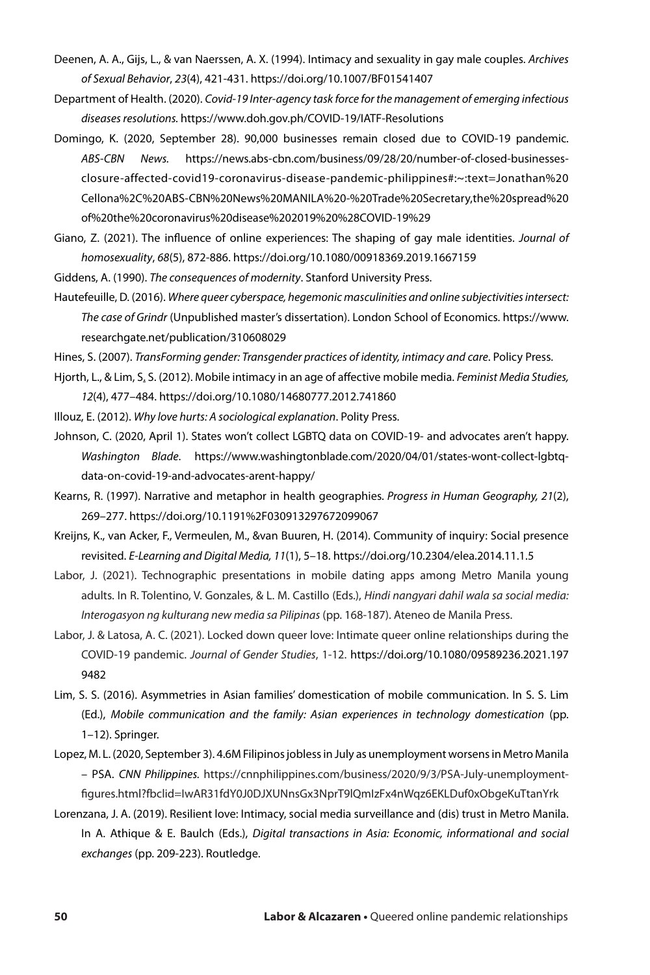- Deenen, A. A., Gijs, L., & van Naerssen, A. X. (1994). Intimacy and sexuality in gay male couples. *Archives of Sexual Behavior*, *23*(4), 421-431. https://doi.org/10.1007/BF01541407
- Department of Health. (2020). *Covid-19 Inter-agency task force for the management of emerging infectious diseases resolutions.* https://www.doh.gov.ph/COVID-19/IATF-Resolutions
- Domingo, K. (2020, September 28). 90,000 businesses remain closed due to COVID-19 pandemic. *ABS-CBN News.* https://news.abs-cbn.com/business/09/28/20/number-of-closed-businessesclosure-affected-covid19-coronavirus-disease-pandemic-philippines#:~:text=Jonathan%20 Cellona%2C%20ABS-CBN%20News%20MANILA%20-%20Trade%20Secretary,the%20spread%20 of%20the%20coronavirus%20disease%202019%20%28COVID-19%29
- Giano, Z. (2021). The influence of online experiences: The shaping of gay male identities. *Journal of homosexuality*, *68*(5), 872-886. https://doi.org/10.1080/00918369.2019.1667159
- Giddens, A. (1990). *The consequences of modernity*. Stanford University Press.
- Hautefeuille, D. (2016). *Where queer cyberspace, hegemonic masculinities and online subjectivities intersect: The case of Grindr* (Unpublished master's dissertation). London School of Economics. https://www. researchgate.net/publication/310608029
- Hines, S. (2007). *TransForming gender: Transgender practices of identity, intimacy and care*. Policy Press.
- Hjorth, L., & Lim, S. S. (2012). Mobile intimacy in an age of affective mobile media. *Feminist Media Studies, 12*(4), 477–484. https://doi.org/10.1080/14680777.2012.741860
- Illouz, E. (2012). *Why love hurts: A sociological explanation*. Polity Press.
- Johnson, C. (2020, April 1). States won't collect LGBTQ data on COVID-19- and advocates aren't happy. *Washington Blade*. https://www.washingtonblade.com/2020/04/01/states-wont-collect-lgbtqdata-on-covid-19-and-advocates-arent-happy/
- Kearns, R. (1997). Narrative and metaphor in health geographies. *Progress in Human Geography, 21*(2), 269–277. https://doi.org/10.1191%2F030913297672099067
- Kreijns, K., van Acker, F., Vermeulen, M., &van Buuren, H. (2014). Community of inquiry: Social presence revisited. *E-Learning and Digital Media, 11*(1), 5–18. https://doi.org/10.2304/elea.2014.11.1.5
- Labor, J. (2021). Technographic presentations in mobile dating apps among Metro Manila young adults. In R. Tolentino, V. Gonzales, & L. M. Castillo (Eds.), *Hindi nangyari dahil wala sa social media: Interogasyon ng kulturang new media sa Pilipinas* (pp. 168-187). Ateneo de Manila Press.
- Labor, J. & Latosa, A. C. (2021). Locked down queer love: Intimate queer online relationships during the COVID-19 pandemic. *Journal of Gender Studies*, 1-12. https://doi.org/10.1080/09589236.2021.197 9482
- Lim, S. S. (2016). Asymmetries in Asian families' domestication of mobile communication. In S. S. Lim (Ed.), *Mobile communication and the family: Asian experiences in technology domestication* (pp. 1–12). Springer.
- Lopez, M. L. (2020, September 3). 4.6M Filipinos jobless in July as unemployment worsens in Metro Manila – PSA. *CNN Philippines.* https://cnnphilippines.com/business/2020/9/3/PSA-July-unemploymentfigures.html?fbclid=IwAR31fdY0J0DJXUNnsGx3NprT9lQmIzFx4nWqz6EKLDuf0xObgeKuTtanYrk
- Lorenzana, J. A. (2019). Resilient love: Intimacy, social media surveillance and (dis) trust in Metro Manila. In A. Athique & E. Baulch (Eds.), *Digital transactions in Asia: Economic, informational and social exchanges* (pp. 209-223). Routledge.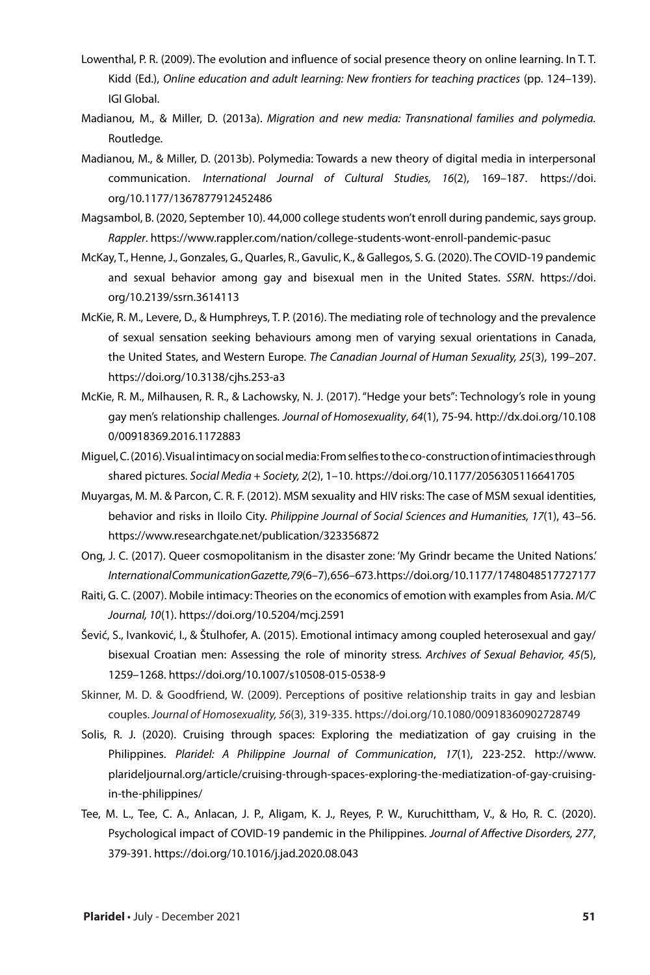- Lowenthal, P. R. (2009). The evolution and influence of social presence theory on online learning. In T. T. Kidd (Ed.), *Online education and adult learning: New frontiers for teaching practices* (pp. 124–139). IGI Global.
- Madianou, M., & Miller, D. (2013a). *Migration and new media: Transnational families and polymedia.* Routledge.
- Madianou, M., & Miller, D. (2013b). Polymedia: Towards a new theory of digital media in interpersonal communication. *International Journal of Cultural Studies, 16*(2), 169–187. https://doi. org/10.1177/1367877912452486
- Magsambol, B. (2020, September 10). 44,000 college students won't enroll during pandemic, says group. *Rappler*. https://www.rappler.com/nation/college-students-wont-enroll-pandemic-pasuc
- McKay, T., Henne, J., Gonzales, G., Quarles, R., Gavulic, K., & Gallegos, S. G. (2020). The COVID-19 pandemic and sexual behavior among gay and bisexual men in the United States. *SSRN*. https://doi. org/10.2139/ssrn.3614113
- McKie, R. M., Levere, D., & Humphreys, T. P. (2016). The mediating role of technology and the prevalence of sexual sensation seeking behaviours among men of varying sexual orientations in Canada, the United States, and Western Europe. *The Canadian Journal of Human Sexuality, 25*(3), 199–207. https://doi.org/10.3138/cjhs.253-a3
- McKie, R. M., Milhausen, R. R., & Lachowsky, N. J. (2017). "Hedge your bets": Technology's role in young gay men's relationship challenges. *Journal of Homosexuality*, *64*(1), 75-94. http://dx.doi.org/10.108 0/00918369.2016.1172883
- Miguel, C. (2016). Visual intimacy on social media: From selfies to the co-construction of intimacies through shared pictures. *Social Media + Society, 2*(2), 1–10. https://doi.org/10.1177/2056305116641705
- Muyargas, M. M. & Parcon, C. R. F. (2012). MSM sexuality and HIV risks: The case of MSM sexual identities, behavior and risks in Iloilo City. *Philippine Journal of Social Sciences and Humanities, 17*(1), 43–56. https://www.researchgate.net/publication/323356872
- Ong, J. C. (2017). Queer cosmopolitanism in the disaster zone: 'My Grindr became the United Nations.' *International Communication Gazette, 79*(6–7), 656–673. https://doi.org/10.1177/1748048517727177
- Raiti, G. C. (2007). Mobile intimacy: Theories on the economics of emotion with examples from Asia. *M/C Journal, 10*(1). https://doi.org/10.5204/mcj.2591
- Šević, S., Ivanković, I., & Štulhofer, A. (2015). Emotional intimacy among coupled heterosexual and gay/ bisexual Croatian men: Assessing the role of minority stress*. Archives of Sexual Behavior, 45(*5), 1259–1268. https://doi.org/10.1007/s10508-015-0538-9
- Skinner, M. D. & Goodfriend, W. (2009). Perceptions of positive relationship traits in gay and lesbian couples. *Journal of Homosexuality, 56*(3), 319-335. https://doi.org/10.1080/00918360902728749
- Solis, R. J. (2020). Cruising through spaces: Exploring the mediatization of gay cruising in the Philippines. *Plaridel: A Philippine Journal of Communication*, *17*(1), 223-252. http://www. plarideljournal.org/article/cruising-through-spaces-exploring-the-mediatization-of-gay-cruisingin-the-philippines/
- Tee, M. L., Tee, C. A., Anlacan, J. P., Aligam, K. J., Reyes, P. W., Kuruchittham, V., & Ho, R. C. (2020). Psychological impact of COVID-19 pandemic in the Philippines. *Journal of Affective Disorders, 277*, 379-391. https://doi.org/10.1016/j.jad.2020.08.043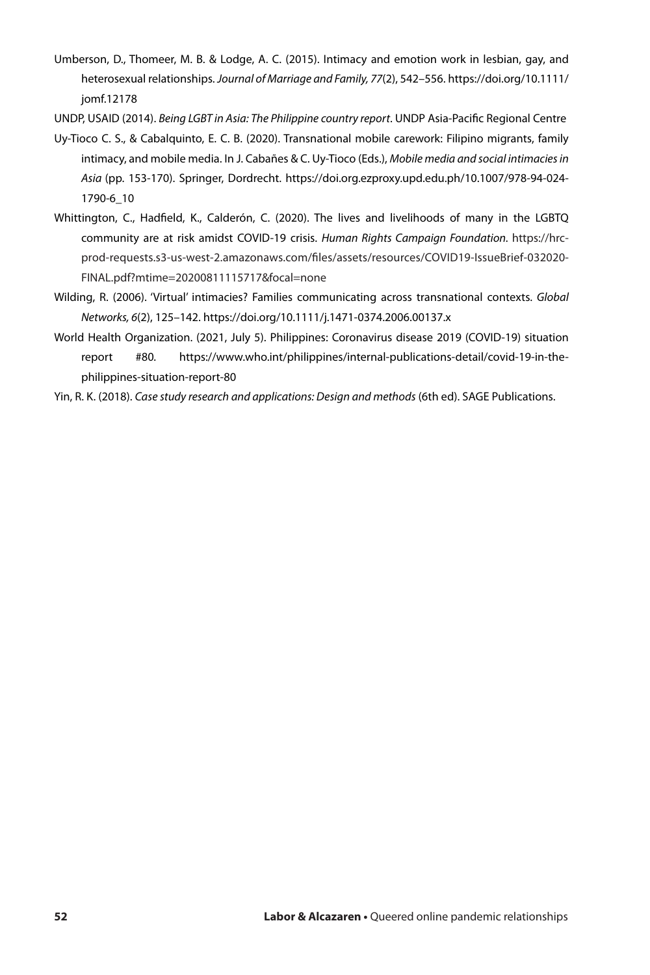- Umberson, D., Thomeer, M. B. & Lodge, A. C. (2015). Intimacy and emotion work in lesbian, gay, and heterosexual relationships. *Journal of Marriage and Family, 77*(2), 542–556. https://doi.org/10.1111/ jomf.12178
- UNDP, USAID (2014). *Being LGBT in Asia: The Philippine country report*. UNDP Asia-Pacific Regional Centre
- Uy-Tioco C. S., & Cabalquinto, E. C. B. (2020). Transnational mobile carework: Filipino migrants, family intimacy, and mobile media. In J. Cabañes & C. Uy-Tioco (Eds.), *Mobile media and social intimacies in Asia* (pp. 153-170). Springer, Dordrecht. https://doi.org.ezproxy.upd.edu.ph/10.1007/978-94-024- 1790-6\_10
- Whittington, C., Hadfield, K., Calderón, C. (2020). The lives and livelihoods of many in the LGBTQ community are at risk amidst COVID-19 crisis. *Human Rights Campaign Foundation.* https://hrcprod-requests.s3-us-west-2.amazonaws.com/files/assets/resources/COVID19-IssueBrief-032020- FINAL.pdf?mtime=20200811115717&focal=none
- Wilding, R. (2006). 'Virtual' intimacies? Families communicating across transnational contexts. *Global Networks, 6*(2), 125–142. https://doi.org/10.1111/j.1471-0374.2006.00137.x
- World Health Organization. (2021, July 5). Philippines: Coronavirus disease 2019 (COVID-19) situation report #80*.* https://www.who.int/philippines/internal-publications-detail/covid-19-in-thephilippines-situation-report-80
- Yin, R. K. (2018). *Case study research and applications: Design and methods* (6th ed). SAGE Publications.